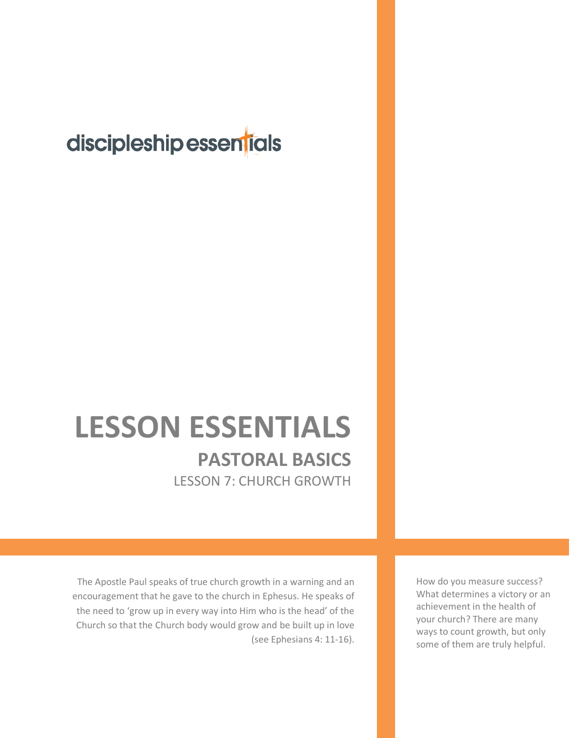## discipleship essentials

## **LESSON ESSENTIALS PASTORAL BASICS** LESSON 7: CHURCH GROWTH

The Apostle Paul speaks of true church growth in a warning and an encouragement that he gave to the church in Ephesus. He speaks of the need to 'grow up in every way into Him who is the head' of the Church so that the Church body would grow and be built up in love (see Ephesians 4: 11-16).

How do you measure success? What determines a victory or an achievement in the health of your church? There are many ways to count growth, but only some of them are truly helpful.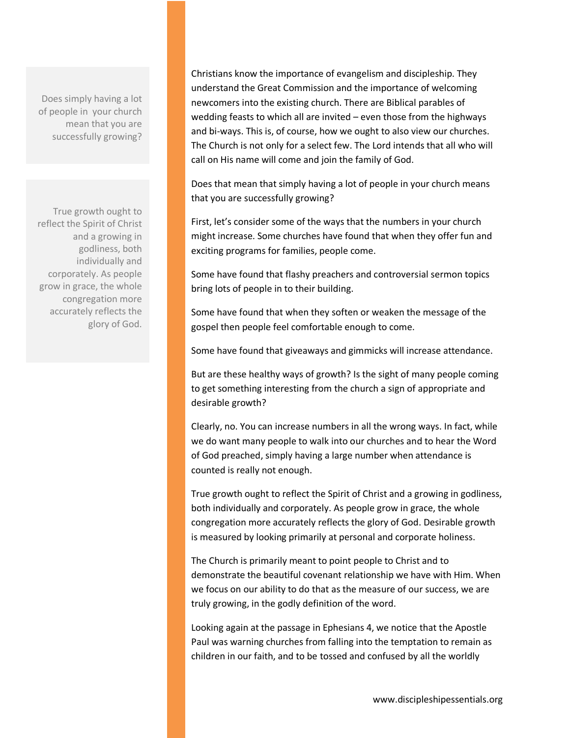Does simply having a lot of people in your church mean that you are successfully growing?

True growth ought to reflect the Spirit of Christ and a growing in godliness, both individually and corporately. As people grow in grace, the whole congregation more accurately reflects the glory of God.

Christians know the importance of evangelism and discipleship. They understand the Great Commission and the importance of welcoming newcomers into the existing church. There are Biblical parables of wedding feasts to which all are invited – even those from the highways and bi-ways. This is, of course, how we ought to also view our churches. The Church is not only for a select few. The Lord intends that all who will call on His name will come and join the family of God.

Does that mean that simply having a lot of people in your church means that you are successfully growing?

First, let's consider some of the ways that the numbers in your church might increase. Some churches have found that when they offer fun and exciting programs for families, people come.

Some have found that flashy preachers and controversial sermon topics bring lots of people in to their building.

Some have found that when they soften or weaken the message of the gospel then people feel comfortable enough to come.

Some have found that giveaways and gimmicks will increase attendance.

But are these healthy ways of growth? Is the sight of many people coming to get something interesting from the church a sign of appropriate and desirable growth?

Clearly, no. You can increase numbers in all the wrong ways. In fact, while we do want many people to walk into our churches and to hear the Word of God preached, simply having a large number when attendance is counted is really not enough.

True growth ought to reflect the Spirit of Christ and a growing in godliness, both individually and corporately. As people grow in grace, the whole congregation more accurately reflects the glory of God. Desirable growth is measured by looking primarily at personal and corporate holiness.

The Church is primarily meant to point people to Christ and to demonstrate the beautiful covenant relationship we have with Him. When we focus on our ability to do that as the measure of our success, we are truly growing, in the godly definition of the word.

Looking again at the passage in Ephesians 4, we notice that the Apostle Paul was warning churches from falling into the temptation to remain as children in our faith, and to be tossed and confused by all the worldly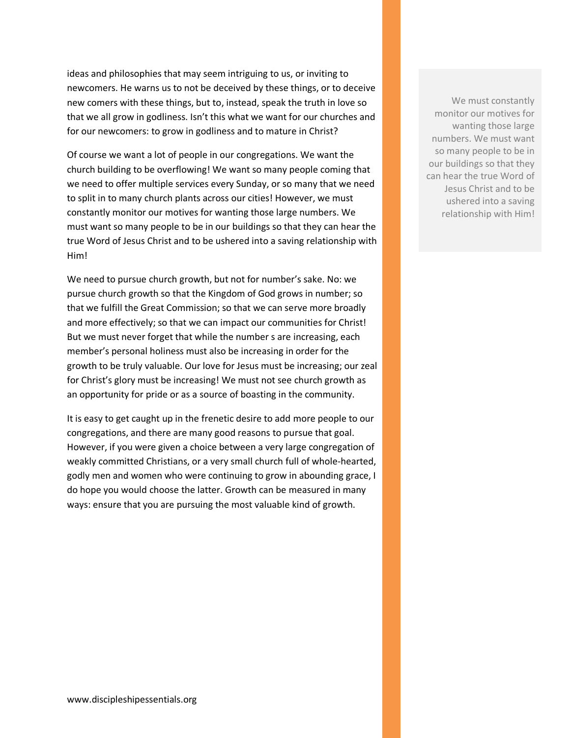ideas and philosophies that may seem intriguing to us, or inviting to newcomers. He warns us to not be deceived by these things, or to deceive new comers with these things, but to, instead, speak the truth in love so that we all grow in godliness. Isn't this what we want for our churches and for our newcomers: to grow in godliness and to mature in Christ?

Of course we want a lot of people in our congregations. We want the church building to be overflowing! We want so many people coming that we need to offer multiple services every Sunday, or so many that we need to split in to many church plants across our cities! However, we must constantly monitor our motives for wanting those large numbers. We must want so many people to be in our buildings so that they can hear the true Word of Jesus Christ and to be ushered into a saving relationship with Him!

We need to pursue church growth, but not for number's sake. No: we pursue church growth so that the Kingdom of God grows in number; so that we fulfill the Great Commission; so that we can serve more broadly and more effectively; so that we can impact our communities for Christ! But we must never forget that while the number s are increasing, each member's personal holiness must also be increasing in order for the growth to be truly valuable. Our love for Jesus must be increasing; our zeal for Christ's glory must be increasing! We must not see church growth as an opportunity for pride or as a source of boasting in the community.

It is easy to get caught up in the frenetic desire to add more people to our congregations, and there are many good reasons to pursue that goal. However, if you were given a choice between a very large congregation of weakly committed Christians, or a very small church full of whole-hearted, godly men and women who were continuing to grow in abounding grace, I do hope you would choose the latter. Growth can be measured in many ways: ensure that you are pursuing the most valuable kind of growth.

We must constantly monitor our motives for wanting those large numbers. We must want so many people to be in our buildings so that they can hear the true Word of Jesus Christ and to be ushered into a saving relationship with Him!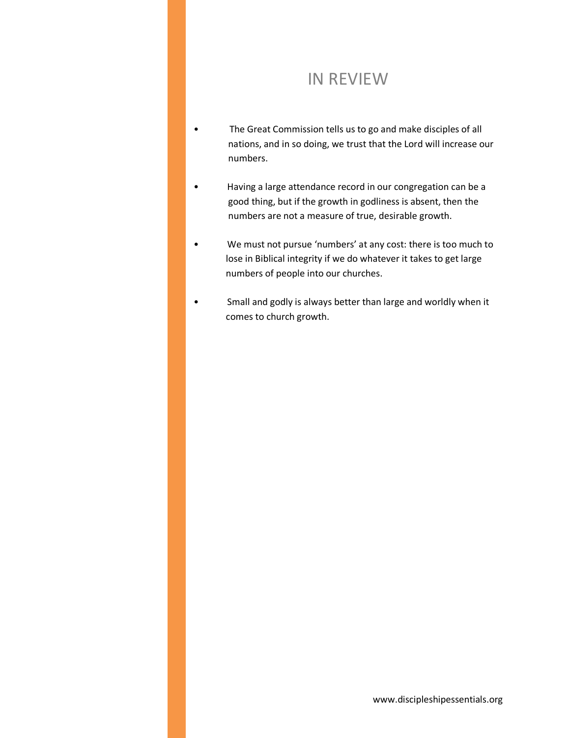## IN REVIEW

- The Great Commission tells us to go and make disciples of all nations, and in so doing, we trust that the Lord will increase our numbers.
- Having a large attendance record in our congregation can be a good thing, but if the growth in godliness is absent, then the numbers are not a measure of true, desirable growth.
- We must not pursue 'numbers' at any cost: there is too much to lose in Biblical integrity if we do whatever it takes to get large numbers of people into our churches.
- Small and godly is always better than large and worldly when it comes to church growth.